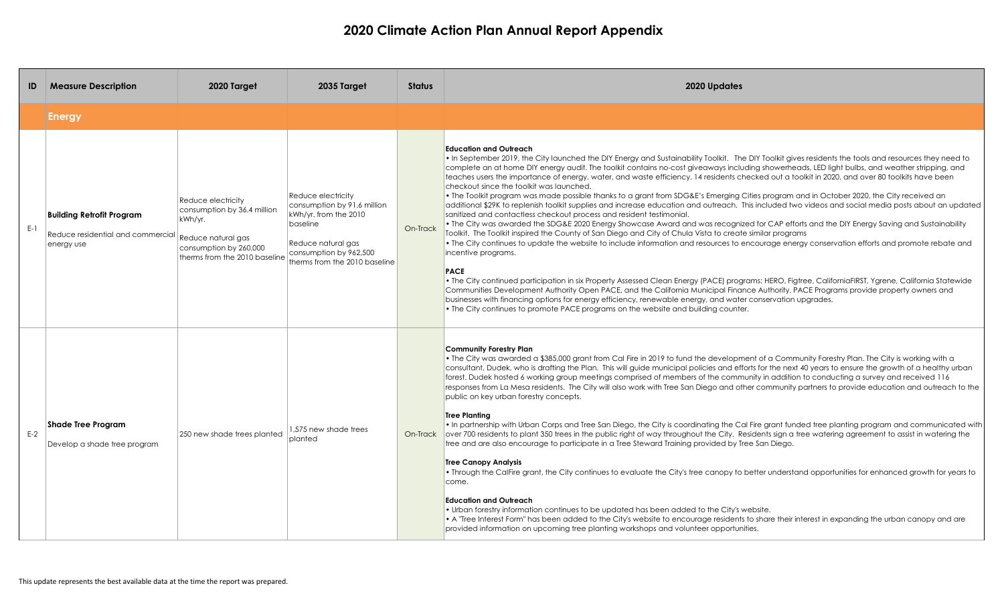|       | <b>Measure Description</b>                                                          | 2020 Target                                                                                                                                   | 2035 Target                                                                                                                                                             | <b>Status</b> | 2020 Updates                                                                                                                                                                                                                                                                                                                                                                                                                                                                                                                                                                                                                                                                                                                                                                                                                                                                                                                                                                                                                                                                                                                                                                                                                                                                                                                                                                                                                                                                                                                                                                                                                                                                                                                                                                                                                                                                       |
|-------|-------------------------------------------------------------------------------------|-----------------------------------------------------------------------------------------------------------------------------------------------|-------------------------------------------------------------------------------------------------------------------------------------------------------------------------|---------------|------------------------------------------------------------------------------------------------------------------------------------------------------------------------------------------------------------------------------------------------------------------------------------------------------------------------------------------------------------------------------------------------------------------------------------------------------------------------------------------------------------------------------------------------------------------------------------------------------------------------------------------------------------------------------------------------------------------------------------------------------------------------------------------------------------------------------------------------------------------------------------------------------------------------------------------------------------------------------------------------------------------------------------------------------------------------------------------------------------------------------------------------------------------------------------------------------------------------------------------------------------------------------------------------------------------------------------------------------------------------------------------------------------------------------------------------------------------------------------------------------------------------------------------------------------------------------------------------------------------------------------------------------------------------------------------------------------------------------------------------------------------------------------------------------------------------------------------------------------------------------------|
|       | Energy                                                                              |                                                                                                                                               |                                                                                                                                                                         |               |                                                                                                                                                                                                                                                                                                                                                                                                                                                                                                                                                                                                                                                                                                                                                                                                                                                                                                                                                                                                                                                                                                                                                                                                                                                                                                                                                                                                                                                                                                                                                                                                                                                                                                                                                                                                                                                                                    |
| -E-1  | <b>Building Retrofit Program</b><br>Reduce residential and commercial<br>energy use | Reduce electricity<br>consumption by 36.4 million<br>kWh/yr.<br>Reduce natural gas<br>consumption by 260,000<br>therms from the 2010 baseline | Reduce electricity<br>consumption by 91.6 million<br>kWh/yr. from the 2010<br>baseline<br>Reduce natural gas<br>consumption by 962,500<br>therms from the 2010 baseline | On-Track      | <b>Education and Outreach</b><br>• In September 2019, the City launched the DIY Energy and Sustainability Toolkit. The DIY Toolkit gives residents the tools and resources they need to<br>complete an at home DIY energy audit. The toolkit contains no-cost giveaways including showerheads, LED light bulbs, and weather stripping, and<br>teaches users the importance of energy, water, and waste efficiency. 14 residents checked out a toolkit in 2020, and over 80 toolkits have been<br>checkout since the toolkit was launched.<br>• The Toolkit program was made possible thanks to a grant from SDG&E's Emerging Cities program and in October 2020, the City received an<br>additional \$29K to replenish toolkit supplies and increase education and outreach. This included two videos and social media posts about an updated<br>sanitized and contactless checkout process and resident testimonial.<br>• The City was awarded the SDG&E 2020 Energy Showcase Award and was recognized for CAP efforts and the DIY Energy Saving and Sustainability<br>Toolkit. The Toolkit inspired the County of San Diego and City of Chula Vista to create similar programs<br>• The City continues to update the website to include information and resources to encourage energy conservation efforts and promote rebate and<br>incentive programs.<br><b>PACE</b><br>• The City continued participation in six Property Assessed Clean Energy (PACE) programs: HERO, Figtree, CaliforniaFIRST, Ygrene, California Statewide<br>Communities Development Authority Open PACE, and the California Municipal Finance Authority. PACE Programs provide property owners and<br>businesses with financing options for energy efficiency, renewable energy, and water conservation upgrades.<br>• The City continues to promote PACE programs on the website and building counter. |
| $E-2$ | <b>Shade Tree Program</b><br>Develop a shade tree program                           | 250 new shade trees planted                                                                                                                   | 1,575 new shade trees<br>planted                                                                                                                                        | On-Track      | <b>Community Forestry Plan</b><br>• The City was awarded a \$385,000 grant from Cal Fire in 2019 to fund the development of a Community Forestry Plan. The City is working with a<br>consultant, Dudek, who is drafting the Plan. This will guide municipal policies and efforts for the next 40 years to ensure the growth of a healthy urban<br>forest. Dudek hosted 6 working group meetings comprised of members of the community in addition to conducting a survey and received 116<br>responses from La Mesa residents. The City will also work with Tree San Diego and other community partners to provide education and outreach to the<br>public on key urban forestry concepts.<br><b>Tree Planting</b><br>• In partnership with Urban Corps and Tree San Diego, the City is coordinating the Cal Fire grant funded tree planting program and communicated with<br>over 700 residents to plant 350 trees in the public right of way throughout the City. Residents sign a tree watering agreement to assist in watering the<br>tree and are also encourage to participate in a Tree Steward Training provided by Tree San Diego.<br>Tree Canopy Analysis<br>. Through the CalFire grant, the City continues to evaluate the City's tree canopy to better understand opportunities for enhanced growth for years to<br>come.<br><b>Education and Outreach</b><br>. Urban forestry information continues to be updated has been added to the City's website.<br>• A "Tree Interest Form" has been added to the City's website to encourage residents to share their interest in expanding the urban canopy and are<br>provided information on upcoming tree planting workshops and volunteer opportunities.                                                                                                                                                               |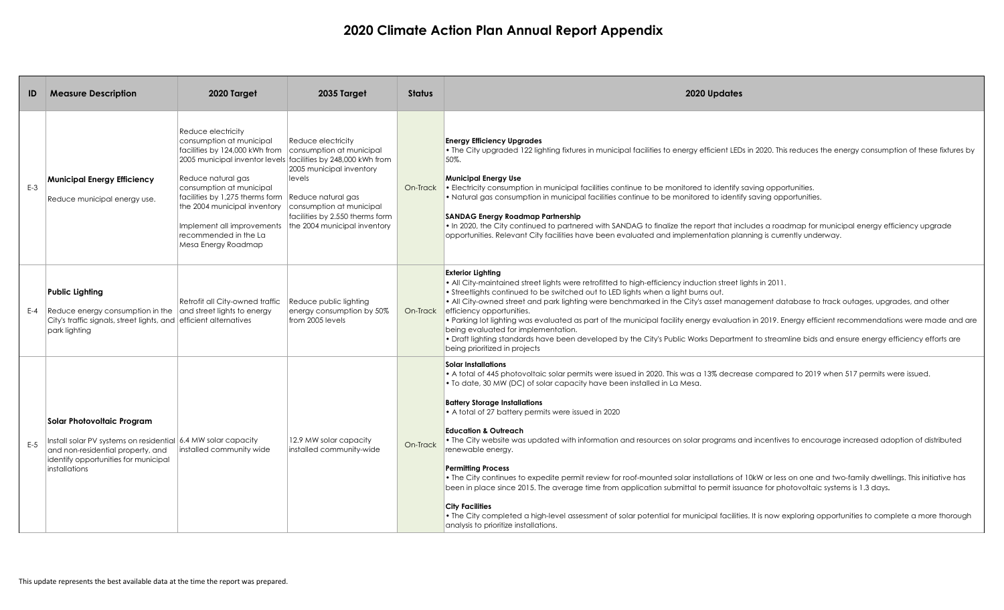| ID    | <b>Measure Description</b>                                                                                                                                                                 | 2020 Target                                                                                                                                                                                                                                           | 2035 Target                                                                                                                                                                                                                                                                                             | <b>Status</b> | 2020 Updates                                                                                                                                                                                                                                                                                                                                                                                                                                                                                                                                                                                                                                                                                                                                                                                                                                                                                                                                                                                                                                                                                                    |
|-------|--------------------------------------------------------------------------------------------------------------------------------------------------------------------------------------------|-------------------------------------------------------------------------------------------------------------------------------------------------------------------------------------------------------------------------------------------------------|---------------------------------------------------------------------------------------------------------------------------------------------------------------------------------------------------------------------------------------------------------------------------------------------------------|---------------|-----------------------------------------------------------------------------------------------------------------------------------------------------------------------------------------------------------------------------------------------------------------------------------------------------------------------------------------------------------------------------------------------------------------------------------------------------------------------------------------------------------------------------------------------------------------------------------------------------------------------------------------------------------------------------------------------------------------------------------------------------------------------------------------------------------------------------------------------------------------------------------------------------------------------------------------------------------------------------------------------------------------------------------------------------------------------------------------------------------------|
| $E-3$ | <b>Municipal Energy Efficiency</b><br>Reduce municipal energy use.                                                                                                                         | Reduce electricity<br>consumption at municipal<br>facilities by 124,000 kWh from<br>Reduce natural gas<br>consumption at municipal<br>facilities by 1,275 therms form<br>the 2004 municipal inventory<br>recommended in the La<br>Mesa Energy Roadmap | Reduce electricity<br>consumption at municipal<br>2005 municipal inventor levels facilities by 248,000 kWh from<br>2005 municipal inventory<br>levels<br>Reduce natural gas<br>consumption at municipal<br>facilities by 2.550 therms form<br>Implement all improvements   the 2004 municipal inventory | On-Track      | <b>Energy Efficiency Upgrades</b><br>• The City upgraded 122 lighting fixtures in municipal facilities to energy efficient LEDs in 2020. This reduces the energy consumption of these fixtures by<br>50%.<br><b>Municipal Energy Use</b><br>Electricity consumption in municipal facilities continue to be monitored to identify saving opportunities.<br>• Natural gas consumption in municipal facilities continue to be monitored to identify saving opportunities.<br><b>SANDAG Energy Roadmap Partnership</b><br>• In 2020, the City continued to partnered with SANDAG to finalize the report that includes a roadmap for municipal energy efficiency upgrade<br>opportunities. Relevant City facilities have been evaluated and implementation planning is currently underway.                                                                                                                                                                                                                                                                                                                           |
| E-4   | <b>Public Lighting</b><br>Reduce energy consumption in the $ $ and street lights to energy<br>City's traffic signals, street lights, and efficient alternatives<br>park lighting           | Retrofit all City-owned traffic                                                                                                                                                                                                                       | Reduce public lighting<br>energy consumption by 50%<br>from 2005 levels                                                                                                                                                                                                                                 | On-Track      | <b>Exterior Lighting</b><br>. All City-maintained street lights were retrofitted to high-efficiency induction street lights in 2011.<br>. Streetlights continued to be switched out to LED lights when a light burns out.<br>• All City-owned street and park lighting were benchmarked in the City's asset management database to track outages, upgrades, and other<br>efficiency opportunities.<br>. Parking lot lighting was evaluated as part of the municipal facility energy evaluation in 2019. Energy efficient recommendations were made and are<br>being evaluated for implementation.<br>• Draft lighting standards have been developed by the City's Public Works Department to streamline bids and ensure energy efficiency efforts are<br>being prioritized in projects                                                                                                                                                                                                                                                                                                                          |
| $E-5$ | Solar Photovoltaic Program<br>Install solar PV systems on residential 6.4 MW solar capacity<br>and non-residential property, and<br>identify opportunities for municipal<br>linstallations | installed community wide                                                                                                                                                                                                                              | 12.9 MW solar capacity<br>installed community-wide                                                                                                                                                                                                                                                      | On-Track      | <b>Solar Installations</b><br>• A total of 445 photovoltaic solar permits were issued in 2020. This was a 13% decrease compared to 2019 when 517 permits were issued.<br>. To date, 30 MW (DC) of solar capacity have been installed in La Mesa.<br><b>Battery Storage Installations</b><br>A total of 27 battery permits were issued in 2020<br><b>Education &amp; Outreach</b><br>• The City website was updated with information and resources on solar programs and incentives to encourage increased adoption of distributed<br>renewable energy.<br><b>Permitting Process</b><br>• The City continues to expedite permit review for roof-mounted solar installations of 10kW or less on one and two-family dwellings. This initiative has<br>been in place since 2015. The average time from application submittal to permit issuance for photovoltaic systems is 1.3 days.<br><b>City Facilities</b><br>• The City completed a high-level assessment of solar potential for municipal facilities. It is now exploring opportunities to complete a more thorough<br>analysis to prioritize installations. |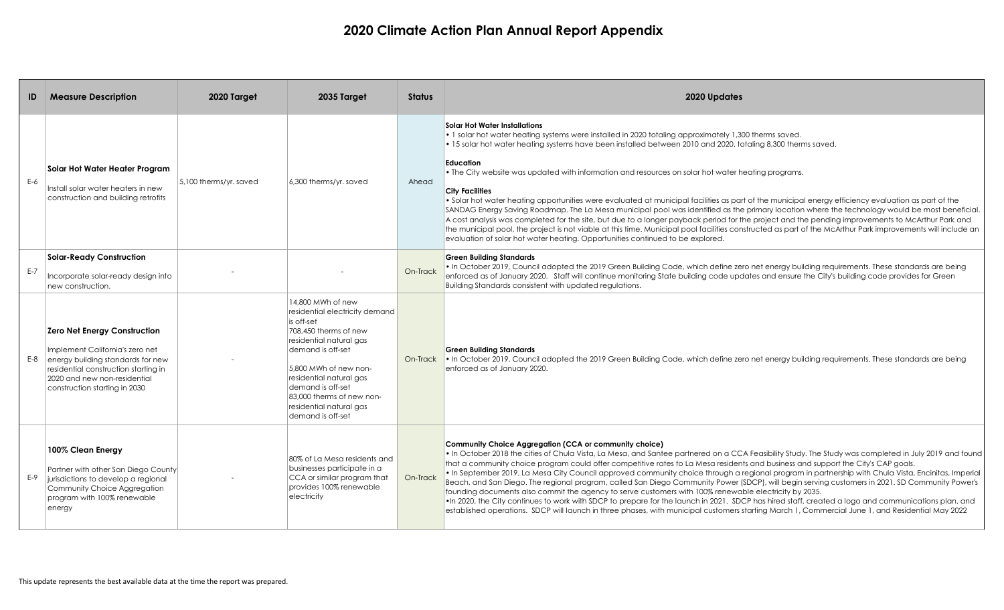| ID    | <b>Measure Description</b>                                                                                                                                                                                           | 2020 Target            | 2035 Target                                                                                                                                                                                                                                                                                      | <b>Status</b> | 2020 Updates                                                                                                                                                                                                                                                                                                                                                                                                                                                                                                                                                                                                                                                                                                                                                                                                                                                                                                                                                                                                                                                                                                                    |
|-------|----------------------------------------------------------------------------------------------------------------------------------------------------------------------------------------------------------------------|------------------------|--------------------------------------------------------------------------------------------------------------------------------------------------------------------------------------------------------------------------------------------------------------------------------------------------|---------------|---------------------------------------------------------------------------------------------------------------------------------------------------------------------------------------------------------------------------------------------------------------------------------------------------------------------------------------------------------------------------------------------------------------------------------------------------------------------------------------------------------------------------------------------------------------------------------------------------------------------------------------------------------------------------------------------------------------------------------------------------------------------------------------------------------------------------------------------------------------------------------------------------------------------------------------------------------------------------------------------------------------------------------------------------------------------------------------------------------------------------------|
| $E-6$ | Solar Hot Water Heater Program<br>Install solar water heaters in new<br>construction and building retrofits                                                                                                          | 5,100 therms/yr. saved | 6,300 therms/yr. saved                                                                                                                                                                                                                                                                           | Ahead         | <b>Solar Hot Water Installations</b><br>• 1 solar hot water heating systems were installed in 2020 totaling approximately 1,300 therms saved.<br>. 15 solar hot water heating systems have been installed between 2010 and 2020, totaling 8,300 therms saved.<br><b>Education</b><br>• The City website was updated with information and resources on solar hot water heating programs.<br><b>City Facilities</b><br>. Solar hot water heating opportunities were evaluated at municipal facilities as part of the municipal energy efficiency evaluation as part of the<br>SANDAG Energy Saving Roadmap. The La Mesa municipal pool was identified as the primary location where the technology would be most beneficial.<br>A cost analysis was completed for the site, but due to a longer payback period for the project and the pending improvements to McArthur Park and<br>the municipal pool, the project is not viable at this time. Municipal pool facilities constructed as part of the McArthur Park improvements will include an<br>evaluation of solar hot water heating. Opportunities continued to be explored. |
| $E-7$ | Solar-Ready Construction<br>Incorporate solar-ready desian into<br>new construction.                                                                                                                                 |                        |                                                                                                                                                                                                                                                                                                  | On-Track      | <b>Green Building Standards</b><br>. In October 2019, Council adopted the 2019 Green Building Code, which define zero net energy building requirements. These standards are being<br>enforced as of January 2020. Staff will continue monitoring State building code updates and ensure the City's building code provides for Green<br>Building Standards consistent with updated regulations.                                                                                                                                                                                                                                                                                                                                                                                                                                                                                                                                                                                                                                                                                                                                  |
| E-8   | <b>Zero Net Energy Construction</b><br>Implement California's zero net<br>energy building standards for new<br>residential construction starting in<br>2020 and new non-residential<br>construction starting in 2030 |                        | 14,800 MWh of new<br>residential electricity demand<br>is off-set<br>708,450 therms of new<br>residential natural gas<br>demand is off-set<br>5,800 MWh of new non-<br>residential natural gas<br>demand is off-set<br>83,000 therms of new non-<br>residential natural gas<br>demand is off-set |               | <b>Green Building Standards</b><br>On-Track . In October 2019, Council adopted the 2019 Green Building Code, which define zero net energy building requirements. These standards are being<br>enforced as of January 2020.                                                                                                                                                                                                                                                                                                                                                                                                                                                                                                                                                                                                                                                                                                                                                                                                                                                                                                      |
| $E-9$ | 100% Clean Energy<br>Partner with other San Diego County<br>jurisdictions to develop a regional<br>Community Choice Aggregation<br>program with 100% renewable<br>energy                                             |                        | 80% of La Mesa residents and<br>businesses participate in a<br>CCA or similar program that<br>provides 100% renewable<br>electricity                                                                                                                                                             | On-Track      | Community Choice Aggregation (CCA or community choice)<br>. In October 2018 the cities of Chula Vista, La Mesa, and Santee partnered on a CCA Feasibility Study. The Study was completed in July 2019 and found<br>that a community choice program could offer competitive rates to La Mesa residents and business and support the City's CAP goals.<br>• In September 2019, La Mesa City Council approved community choice through a regional program in partnership with Chula Vista, Encinitas, Imperial<br>Beach, and San Diego. The regional program, called San Diego Community Power (SDCP), will begin serving customers in 2021. SD Community Power's<br>founding documents also commit the agency to serve customers with 100% renewable electricity by 2035.<br>. In 2020, the City continues to work with SDCP to prepare for the launch in 2021. SDCP has hired staff, created a logo and communications plan, and<br>established operations. SDCP will launch in three phases, with municipal customers starting March 1, Commercial June 1, and Residential May 2022                                             |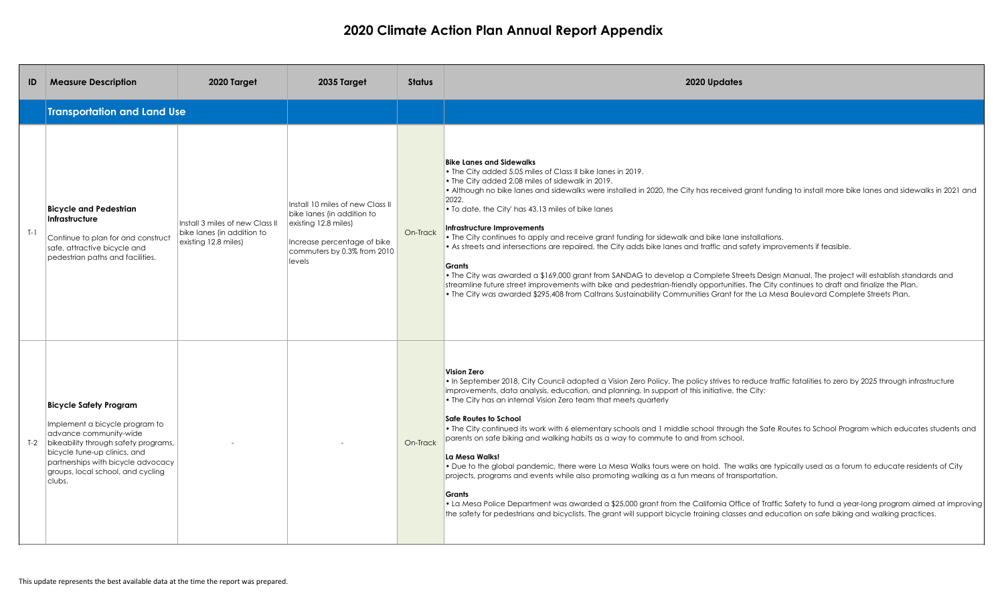| ID    | <b>Measure Description</b>                                                                                                                                                                                                                             | 2020 Target                                                                           | 2035 Target                                                                                                                                                     | <b>Status</b> | 2020 Updates                                                                                                                                                                                                                                                                                                                                                                                                                                                                                                                                                                                                                                                                                                                                                                                                                                                                                                                                                                                                                                                                                                                                                                                                   |
|-------|--------------------------------------------------------------------------------------------------------------------------------------------------------------------------------------------------------------------------------------------------------|---------------------------------------------------------------------------------------|-----------------------------------------------------------------------------------------------------------------------------------------------------------------|---------------|----------------------------------------------------------------------------------------------------------------------------------------------------------------------------------------------------------------------------------------------------------------------------------------------------------------------------------------------------------------------------------------------------------------------------------------------------------------------------------------------------------------------------------------------------------------------------------------------------------------------------------------------------------------------------------------------------------------------------------------------------------------------------------------------------------------------------------------------------------------------------------------------------------------------------------------------------------------------------------------------------------------------------------------------------------------------------------------------------------------------------------------------------------------------------------------------------------------|
|       | <b>Transportation and Land Use</b>                                                                                                                                                                                                                     |                                                                                       |                                                                                                                                                                 |               |                                                                                                                                                                                                                                                                                                                                                                                                                                                                                                                                                                                                                                                                                                                                                                                                                                                                                                                                                                                                                                                                                                                                                                                                                |
| $T-1$ | <b>Bicycle and Pedestrian</b><br><b>Infrastructure</b><br>Continue to plan for and construct<br>safe, attractive bicycle and<br>pedestrian paths and facilities.                                                                                       | Install 3 miles of new Class II<br>bike lanes (in addition to<br>existing 12.8 miles) | Install 10 miles of new Class II<br>bike lanes (in addition to<br>existing 12.8 miles)<br>Increase percentage of bike<br>commuters by 0.3% from 2010<br>llevels | On-Track      | <b>Bike Lanes and Sidewalks</b><br>. The City added 5.05 miles of Class II bike lanes in 2019.<br>• The City added 2.08 miles of sidewalk in 2019.<br>• Although no bike lanes and sidewalks were installed in 2020, the City has received grant funding to install more bike lanes and sidewalks in 2021 and<br>2022.<br>. To date, the City' has 43.13 miles of bike lanes<br>Infrastructure Improvements<br>. The City continues to apply and receive grant funding for sidewalk and bike lane installations.<br>. As streets and intersections are repaired, the City adds bike lanes and traffic and safety improvements if feasible.<br>Grants<br>• The City was awarded a \$169,000 grant from SANDAG to develop a Complete Streets Design Manual. The project will establish standards and<br>streamline future street improvements with bike and pedestrian-friendly opportunities. The City continues to draft and finalize the Plan.<br>. The City was awarded \$295,408 from Caltrans Sustainability Communities Grant for the La Mesa Boulevard Complete Streets Plan.                                                                                                                            |
| $T-2$ | <b>Bicycle Safety Program</b><br>Implement a bicycle program to<br>advance community-wide<br>bikeability through safety programs,<br>bicycle tune-up clinics, and<br>partnerships with bicycle advocacy<br>groups, local school, and cycling<br>clubs. |                                                                                       |                                                                                                                                                                 | On-Track      | <b>Vision Zero</b><br>• In September 2018, City Council adopted a Vision Zero Policy. The policy strives to reduce traffic fatalities to zero by 2025 through infrastructure<br>improvements, data analysis, education, and planning. In support of this initiative, the City:<br>• The City has an internal Vision Zero team that meets quarterly<br>Safe Routes to School<br>• The City continued its work with 6 elementary schools and 1 middle school through the Safe Routes to School Program which educates students and<br>parents on safe biking and walking habits as a way to commute to and from school.<br>La Mesa Walks!<br>• Due to the global pandemic, there were La Mesa Walks tours were on hold. The walks are typically used as a forum to educate residents of City<br>projects, programs and events while also promoting walking as a fun means of transportation.<br>Grants<br>· La Mesa Police Department was awarded a \$25,000 grant from the California Office of Traffic Safety to fund a year-long program aimed at improving<br>the safety for pedestrians and bicyclists. The grant will support bicycle training classes and education on safe biking and walking practices. |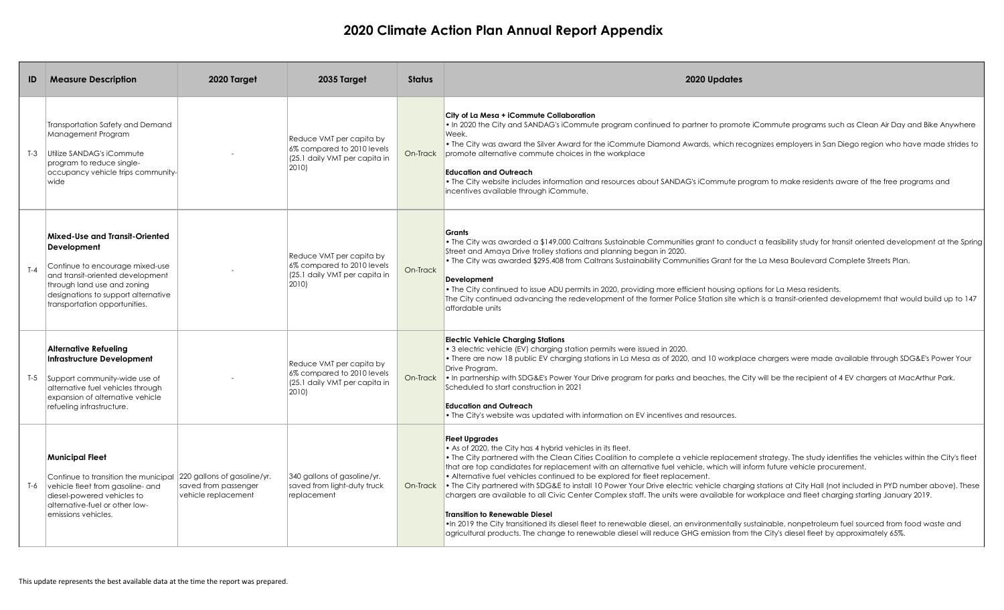| ID      | <b>Measure Description</b>                                                                                                                                                                                                  | 2020 Target                                 | 2035 Target                                                                                      | <b>Status</b> | 2020 Updates                                                                                                                                                                                                                                                                                                                                                                                                                                                                                                                                                                                                                                                                                                                                                                                                                                                                                                                                                                                                                                                                                               |
|---------|-----------------------------------------------------------------------------------------------------------------------------------------------------------------------------------------------------------------------------|---------------------------------------------|--------------------------------------------------------------------------------------------------|---------------|------------------------------------------------------------------------------------------------------------------------------------------------------------------------------------------------------------------------------------------------------------------------------------------------------------------------------------------------------------------------------------------------------------------------------------------------------------------------------------------------------------------------------------------------------------------------------------------------------------------------------------------------------------------------------------------------------------------------------------------------------------------------------------------------------------------------------------------------------------------------------------------------------------------------------------------------------------------------------------------------------------------------------------------------------------------------------------------------------------|
| $T-3$   | Transportation Safety and Demand<br>Management Program<br>Utilize SANDAG's iCommute<br>program to reduce single-<br>occupancy vehicle trips community-<br>wide                                                              |                                             | Reduce VMT per capita by<br>6% compared to 2010 levels<br>(25.1 daily VMT per capita in<br>2010) | On-Track      | City of La Mesa + iCommute Collaboration<br>. In 2020 the City and SANDAG's iCommute program continued to partner to promote iCommute programs such as Clean Air Day and Bike Anywhere<br>Week.<br>. The City was award the Silver Award for the iCommute Diamond Awards, which recognizes employers in San Diego region who have made strides to<br>promote alternative commute choices in the workplace<br><b>Education and Outreach</b><br>• The City website includes information and resources about SANDAG's iCommute program to make residents aware of the free programs and<br>incentives available through iCommute.                                                                                                                                                                                                                                                                                                                                                                                                                                                                             |
| $T - 4$ | Mixed-Use and Transit-Oriented<br>Development<br>Continue to encourage mixed-use<br>and transit-oriented development<br>through land use and zoning<br>designations to support alternative<br>transportation opportunities. |                                             | Reduce VMT per capita by<br>6% compared to 2010 levels<br>(25.1 daily VMT per capita in<br>2010) | On-Track      | Grants<br>. The City was awarded a \$149,000 Caltrans Sustainable Communities grant to conduct a feasibility study for transit oriented development at the Spring<br>Street and Amaya Drive trolley stations and planning began in 2020.<br>. The City was awarded \$295,408 from Caltrans Sustainability Communities Grant for the La Mesa Boulevard Complete Streets Plan.<br>Development<br>• The City continued to issue ADU permits in 2020, providing more efficient housing options for La Mesa residents.<br>The City continued advancing the redevelopment of the former Police Station site which is a transit-oriented developmemt that would build up to 147<br>affordable units                                                                                                                                                                                                                                                                                                                                                                                                               |
| T-5     | <b>Alternative Refueling</b><br>Infrastructure Development<br>Support community-wide use of<br>alternative fuel vehicles through<br>expansion of alternative vehicle<br>refueling infrastructure.                           |                                             | Reduce VMT per capita by<br>6% compared to 2010 levels<br>(25.1 daily VMT per capita in<br>2010) | On-Track      | <b>Electric Vehicle Charging Stations</b><br>• 3 electric vehicle (EV) charging station permits were issued in 2020.<br>. There are now 18 public EV charging stations in La Mesa as of 2020, and 10 workplace chargers were made available through SDG&E's Power Your<br>Drive Program.<br>. In partnership with SDG&E's Power Your Drive program for parks and beaches, the City will be the recipient of 4 EV chargers at MacArthur Park.<br>Scheduled to start construction in 2021<br><b>Education and Outreach</b><br>• The City's website was updated with information on EV incentives and resources.                                                                                                                                                                                                                                                                                                                                                                                                                                                                                              |
|         | <b>Municipal Fleet</b><br>Continue to transition the municipal 220 gallons of gasoline/yr.<br>T-6 vehicle fleet from gasoline- and<br>diesel-powered vehicles to<br>alternative-fuel or other low-<br>emissions vehicles.   | saved from passenger<br>vehicle replacement | 340 gallons of gasoline/yr.<br>saved from light-duty truck<br>replacement                        | On-Track      | <b>Fleet Upgrades</b><br>• As of 2020, the City has 4 hybrid vehicles in its fleet.<br>• The City partnered with the Clean Cities Coalition to complete a vehicle replacement strategy. The study identifies the vehicles within the City's fleet<br>that are top candidates for replacement with an alternative fuel vehicle, which will inform future vehicle procurement.<br>• Alternative fuel vehicles continued to be explored for fleet replacement.<br>. The City partnered with SDG&E to install 10 Power Your Drive electric vehicle charging stations at City Hall (not included in PYD number above). These<br>chargers are available to all Civic Center Complex staff. The units were available for workplace and fleet charging starting January 2019.<br><b>Transition to Renewable Diesel</b><br>. In 2019 the City transitioned its diesel fleet to renewable diesel, an environmentally sustainable, nonpetroleum fuel sourced from food waste and<br>agricultural products. The change to renewable diesel will reduce GHG emission from the City's diesel fleet by approximately 65%. |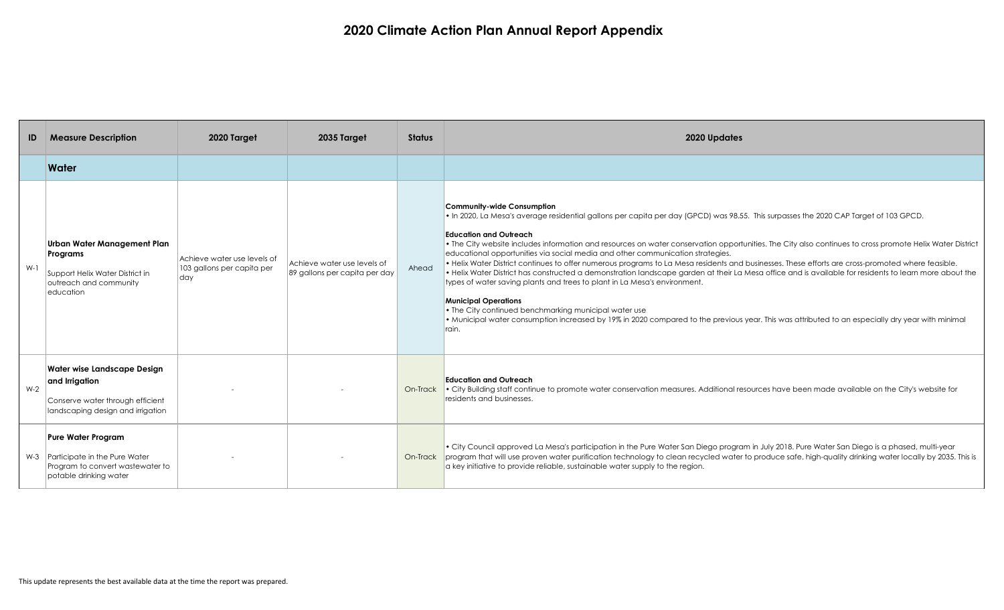| ID    | <b>Measure Description</b>                                                                                                    | 2020 Target                                                       | 2035 Target                                                  | <b>Status</b> | 2020 Updates                                                                                                                                                                                                                                                                                                                                                                                                                                                                                                                                                                                                                                                                                                                                                                                                                                                                                                                                                                                                                                                                                               |
|-------|-------------------------------------------------------------------------------------------------------------------------------|-------------------------------------------------------------------|--------------------------------------------------------------|---------------|------------------------------------------------------------------------------------------------------------------------------------------------------------------------------------------------------------------------------------------------------------------------------------------------------------------------------------------------------------------------------------------------------------------------------------------------------------------------------------------------------------------------------------------------------------------------------------------------------------------------------------------------------------------------------------------------------------------------------------------------------------------------------------------------------------------------------------------------------------------------------------------------------------------------------------------------------------------------------------------------------------------------------------------------------------------------------------------------------------|
|       | <b>Water</b>                                                                                                                  |                                                                   |                                                              |               |                                                                                                                                                                                                                                                                                                                                                                                                                                                                                                                                                                                                                                                                                                                                                                                                                                                                                                                                                                                                                                                                                                            |
| W-1   | Urban Water Management Plan<br>Programs<br>Support Helix Water District in<br>outreach and community<br><i>education</i>      | Achieve water use levels of<br>103 gallons per capita per<br> day | Achieve water use levels of<br>89 gallons per capita per day | Ahead         | <b>Community-wide Consumption</b><br>. In 2020, La Mesa's average residential gallons per capita per day (GPCD) was 98.55. This surpasses the 2020 CAP Target of 103 GPCD.<br><b>Education and Outreach</b><br>• The City website includes information and resources on water conservation opportunities. The City also continues to cross promote Helix Water District<br>educational opportunities via social media and other communication strategies.<br>. Helix Water District continues to offer numerous programs to La Mesa residents and businesses. These efforts are cross-promoted where feasible.<br>. Helix Water District has constructed a demonstration landscape garden at their La Mesa office and is available for residents to learn more about the<br>types of water saving plants and trees to plant in La Mesa's environment.<br><b>Municipal Operations</b><br>• The City continued benchmarking municipal water use<br>• Municipal water consumption increased by 19% in 2020 compared to the previous year. This was attributed to an especially dry year with minimal<br>rain. |
| $W-2$ | <b>Water wise Landscape Design</b><br>and Irrigation<br>Conserve water through efficient<br>landscaping design and irrigation |                                                                   |                                                              | On-Track      | <b>Education and Outreach</b><br>• City Building staff continue to promote water conservation measures. Additional resources have been made available on the City's website for<br>residents and businesses.                                                                                                                                                                                                                                                                                                                                                                                                                                                                                                                                                                                                                                                                                                                                                                                                                                                                                               |
|       | <b>Pure Water Program</b><br>W-3 Participate in the Pure Water<br>Program to convert wastewater to<br>potable drinking water  |                                                                   |                                                              |               | . City Council approved La Mesa's participation in the Pure Water San Diego program in July 2018. Pure Water San Diego is a phased, multi-year<br>On-Track program that will use proven water purification technology to clean recycled water to produce safe, high-quality drinking water locally by 2035. This is<br>a key initiative to provide reliable, sustainable water supply to the region.                                                                                                                                                                                                                                                                                                                                                                                                                                                                                                                                                                                                                                                                                                       |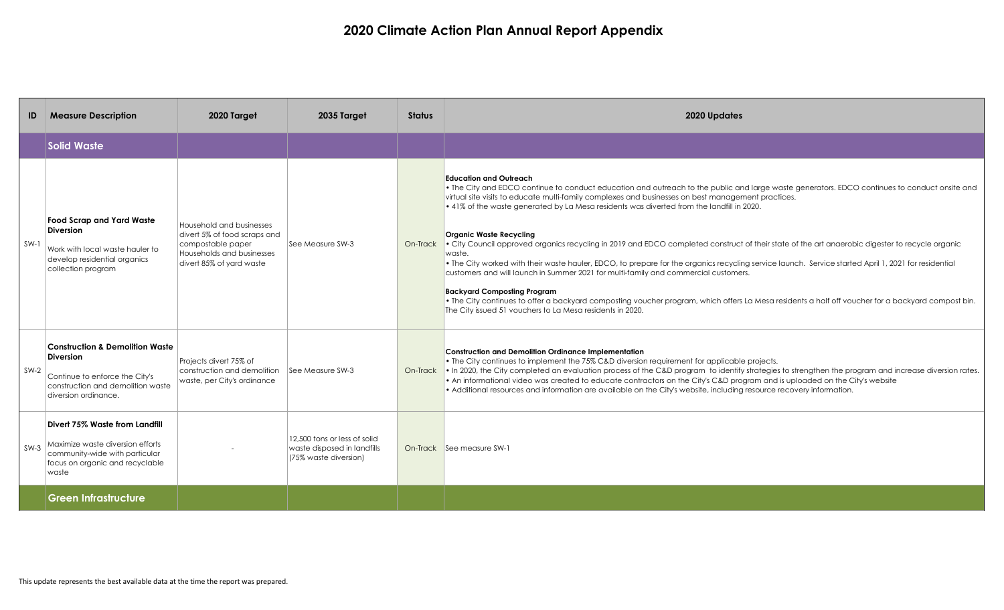| ID     | <b>Measure Description</b>                                                                                                                                    | 2020 Target                                                                                                                            | 2035 Target                                                                          | <b>Status</b> | 2020 Updates                                                                                                                                                                                                                                                                                                                                                                                                                                                                                                                                                                                                                                                                                                                                                                                                                                                                                                                                                                                                                                                                             |
|--------|---------------------------------------------------------------------------------------------------------------------------------------------------------------|----------------------------------------------------------------------------------------------------------------------------------------|--------------------------------------------------------------------------------------|---------------|------------------------------------------------------------------------------------------------------------------------------------------------------------------------------------------------------------------------------------------------------------------------------------------------------------------------------------------------------------------------------------------------------------------------------------------------------------------------------------------------------------------------------------------------------------------------------------------------------------------------------------------------------------------------------------------------------------------------------------------------------------------------------------------------------------------------------------------------------------------------------------------------------------------------------------------------------------------------------------------------------------------------------------------------------------------------------------------|
|        | <b>Solid Waste</b>                                                                                                                                            |                                                                                                                                        |                                                                                      |               |                                                                                                                                                                                                                                                                                                                                                                                                                                                                                                                                                                                                                                                                                                                                                                                                                                                                                                                                                                                                                                                                                          |
| $SW-1$ | <b>Food Scrap and Yard Waste</b><br>Diversion<br>Work with local waste hauler to<br>develop residential organics<br>collection program                        | Household and businesses<br>divert 5% of food scraps and<br>compostable paper<br>Households and businesses<br>divert 85% of yard waste | See Measure SW-3                                                                     | On-Track      | <b>Education and Outreach</b><br>• The City and EDCO continue to conduct education and outreach to the public and large waste generators. EDCO continues to conduct onsite and<br>virtual site visits to educate multi-family complexes and businesses on best management practices.<br>• 41% of the waste generated by La Mesa residents was diverted from the landfill in 2020.<br><b>Organic Waste Recycling</b><br>• City Council approved organics recycling in 2019 and EDCO completed construct of their state of the art anaerobic digester to recycle organic<br>waste.<br>• The City worked with their waste hauler, EDCO, to prepare for the organics recycling service launch. Service started April 1, 2021 for residential<br>customers and will launch in Summer 2021 for multi-family and commercial customers.<br><b>Backyard Composting Program</b><br>• The City continues to offer a backyard composting voucher program, which offers La Mesa residents a half off voucher for a backyard compost bin.<br>The City issued 51 vouchers to La Mesa residents in 2020. |
| $SW-2$ | <b>Construction &amp; Demolition Waste</b><br><b>Diversion</b><br>Continue to enforce the City's<br>construction and demolition waste<br>diversion ordinance. | Projects divert 75% of<br>construction and demolition<br>waste, per City's ordinance                                                   | See Measure SW-3                                                                     |               | <b>Construction and Demolition Ordinance Implementation</b><br>• The City continues to implement the 75% C&D diversion requirement for applicable projects.<br>On-Track   In 2020, the City completed an evaluation process of the C&D program to identify strategies to strengthen the program and increase diversion rates.<br>• An informational video was created to educate contractors on the City's C&D program and is uploaded on the City's website<br>• Additional resources and information are available on the City's website, including resource recovery information.                                                                                                                                                                                                                                                                                                                                                                                                                                                                                                     |
| $SW-3$ | Divert 75% Waste from Landfill<br>Maximize waste diversion efforts<br>community-wide with particular<br>focus on organic and recyclable<br>waste              |                                                                                                                                        | 12,500 tons or less of solid<br>waste disposed in landfills<br>(75% waste diversion) |               | On-Track See measure SW-1                                                                                                                                                                                                                                                                                                                                                                                                                                                                                                                                                                                                                                                                                                                                                                                                                                                                                                                                                                                                                                                                |
|        | Green Infrastructure                                                                                                                                          |                                                                                                                                        |                                                                                      |               |                                                                                                                                                                                                                                                                                                                                                                                                                                                                                                                                                                                                                                                                                                                                                                                                                                                                                                                                                                                                                                                                                          |